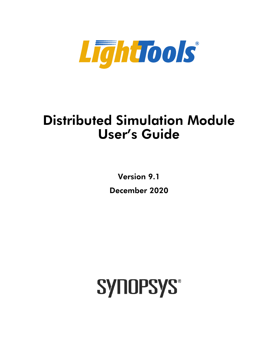

# Distributed Simulation Module User's Guide

Version 9.1 December 2020

# **SYNOPSYS®**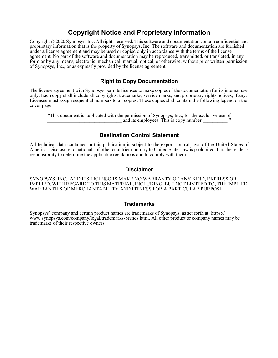# **Copyright Notice and Proprietary Information**

Copyright © 2020 Synopsys, Inc. All rights reserved. This software and documentation contain confidential and proprietary information that is the property of Synopsys, Inc. The software and documentation are furnished under a license agreement and may be used or copied only in accordance with the terms of the license agreement. No part of the software and documentation may be reproduced, transmitted, or translated, in any form or by any means, electronic, mechanical, manual, optical, or otherwise, without prior written permission of Synopsys, Inc., or as expressly provided by the license agreement.

#### **Right to Copy Documentation**

The license agreement with Synopsys permits licensee to make copies of the documentation for its internal use only. Each copy shall include all copyrights, trademarks, service marks, and proprietary rights notices, if any. Licensee must assign sequential numbers to all copies. These copies shall contain the following legend on the cover page:

"This document is duplicated with the permission of Synopsys, Inc., for the exclusive use of and its employees. This is copy number  $\cdots$ 

#### **Destination Control Statement**

All technical data contained in this publication is subject to the export control laws of the United States of America. Disclosure to nationals of other countries contrary to United States law is prohibited. It is the reader's responsibility to determine the applicable regulations and to comply with them.

#### **Disclaimer**

SYNOPSYS, INC., AND ITS LICENSORS MAKE NO WARRANTY OF ANY KIND, EXPRESS OR IMPLIED, WITH REGARD TO THIS MATERIAL, INCLUDING, BUT NOT LIMITED TO, THE IMPLIED WARRANTIES OF MERCHANTABILITY AND FITNESS FOR A PARTICULAR PURPOSE.

#### **Trademarks**

Synopsys' company and certain product names are trademarks of Synopsys, as set forth at: https:// www.synopsys.com/company/legal/trademarks-brands.html. All other product or company names may be trademarks of their respective owners.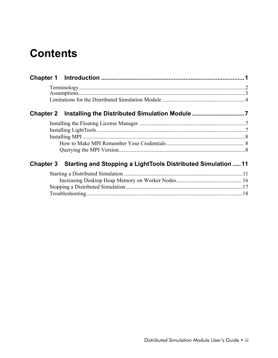# **Contents**

| Chapter 2 Installing the Distributed Simulation Module 7                |  |
|-------------------------------------------------------------------------|--|
|                                                                         |  |
|                                                                         |  |
|                                                                         |  |
|                                                                         |  |
|                                                                         |  |
| Chapter 3 Starting and Stopping a LightTools Distributed Simulation  11 |  |
|                                                                         |  |
|                                                                         |  |
|                                                                         |  |
|                                                                         |  |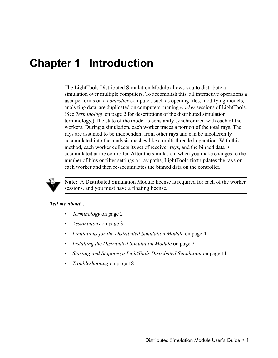# <span id="page-4-0"></span>**Chapter 1 Introduction**

The LightTools Distributed Simulation Module allows you to distribute a simulation over multiple computers. To accomplish this, all interactive operations a user performs on a *controller* computer, such as opening files, modifying models, analyzing data, are duplicated on computers running *worker* sessions of LightTools. (See *[Terminology](#page-5-0)* on page 2 for descriptions of the distributed simulation terminology.) The state of the model is constantly synchronized with each of the workers. During a simulation, each worker traces a portion of the total rays. The rays are assumed to be independent from other rays and can be incoherently accumulated into the analysis meshes like a multi-threaded operation. With this method, each worker collects its set of receiver rays, and the binned data is accumulated at the controller. After the simulation, when you make changes to the number of bins or filter settings or ray paths, LightTools first updates the rays on each worker and then re-accumulates the binned data on the controller.



**Note:** A Distributed Simulation Module license is required for each of the worker sessions, and you must have a floating license.

#### *Tell me about...*

- *[Terminology](#page-5-0)* on page 2
- *[Assumptions](#page-6-0)* on page 3
- *[Limitations for the Distributed Simulation Module](#page-7-0)* on page 4
- *[Installing the Distributed Simulation Module](#page-10-3)* on page 7
- *[Starting and Stopping a LightTools Distributed Simulation](#page-14-2)* on page 11
- *[Troubleshooting](#page-21-1)* on page 18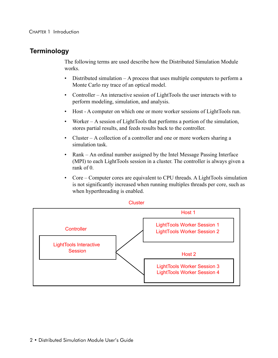# <span id="page-5-0"></span>**Terminology**

The following terms are used describe how the Distributed Simulation Module works.

- Distributed simulation A process that uses multiple computers to perform a Monte Carlo ray trace of an optical model.
- Controller An interactive session of LightTools the user interacts with to perform modeling, simulation, and analysis.
- Host A computer on which one or more worker sessions of LightTools run.
- Worker A session of LightTools that performs a portion of the simulation, stores partial results, and feeds results back to the controller.
- Cluster A collection of a controller and one or more workers sharing a simulation task.
- Rank An ordinal number assigned by the Intel Message Passing Interface (MPI) to each LightTools session in a cluster. The controller is always given a rank of 0.
- Core Computer cores are equivalent to CPU threads. A LightTools simulation is not significantly increased when running multiples threads per core, such as when hyperthreading is enabled.



#### Cluster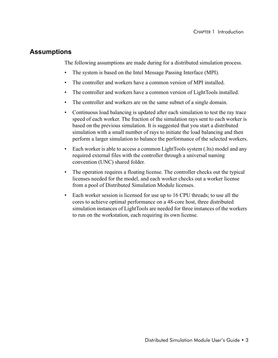# <span id="page-6-0"></span>**Assumptions**

The following assumptions are made during for a distributed simulation process.

- The system is based on the Intel Message Passing Interface (MPI).
- The controller and workers have a common version of MPI installed.
- The controller and workers have a common version of LightTools installed.
- The controller and workers are on the same subnet of a single domain.
- Continuous load balancing is updated after each simulation to test the ray trace speed of each worker. The fraction of the simulation rays sent to each worker is based on the previous simulation. It is suggested that you start a distributed simulation with a small number of rays to initiate the load balancing and then perform a larger simulation to balance the performance of the selected workers.
- Each worker is able to access a common LightTools system (.lts) model and any required external files with the controller through a universal naming convention (UNC) shared folder.
- The operation requires a floating license. The controller checks out the typical licenses needed for the model, and each worker checks out a worker license from a pool of Distributed Simulation Module licenses.
- Each worker session is licensed for use up to 16 CPU threads; to use all the cores to achieve optimal performance on a 48-core host, three distributed simulation instances of LightTools are needed for three instances of the workers to run on the workstation, each requiring its own license.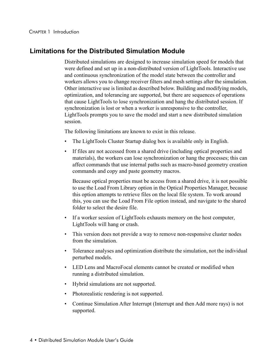# <span id="page-7-0"></span>**Limitations for the Distributed Simulation Module**

Distributed simulations are designed to increase simulation speed for models that were defined and set up in a non-distributed version of LightTools. Interactive use and continuous synchronization of the model state between the controller and workers allows you to change receiver filters and mesh settings after the simulation. Other interactive use is limited as described below. Building and modifying models, optimization, and tolerancing are supported, but there are sequences of operations that cause LightTools to lose synchronization and hang the distributed session. If synchronization is lost or when a worker is unresponsive to the controller, LightTools prompts you to save the model and start a new distributed simulation session.

The following limitations are known to exist in this release.

- The LightTools Cluster Startup dialog box is available only in English.
- If files are not accessed from a shared drive (including optical properties and materials), the workers can lose synchronization or hang the processes; this can affect commands that use internal paths such as macro-based geometry creation commands and copy and paste geometry macros.

Because optical properties must be access from a shared drive, it is not possible to use the Load From Library option in the Optical Properties Manager, because this option attempts to retrieve files on the local file system. To work around this, you can use the Load From File option instead, and navigate to the shared folder to select the desire file.

- If a worker session of LightTools exhausts memory on the host computer, LightTools will hang or crash.
- This version does not provide a way to remove non-responsive cluster nodes from the simulation.
- Tolerance analyses and optimization distribute the simulation, not the individual perturbed models.
- LED Lens and MacroFocal elements cannot be created or modified when running a distributed simulation.
- Hybrid simulations are not supported.
- Photorealistic rendering is not supported.
- Continue Simulation After Interrupt (Interrupt and then Add more rays) is not supported.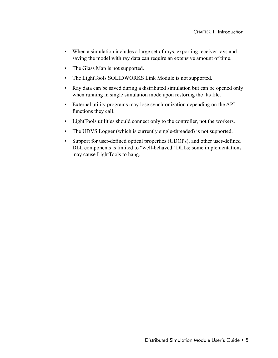- When a simulation includes a large set of rays, exporting receiver rays and saving the model with ray data can require an extensive amount of time.
- The Glass Map is not supported.
- The LightTools SOLIDWORKS Link Module is not supported.
- Ray data can be saved during a distributed simulation but can be opened only when running in single simulation mode upon restoring the .lts file.
- External utility programs may lose synchronization depending on the API functions they call.
- LightTools utilities should connect only to the controller, not the workers.
- The UDVS Logger (which is currently single-threaded) is not supported.
- Support for user-defined optical properties (UDOPs), and other user-defined DLL components is limited to "well-behaved" DLLs; some implementations may cause LightTools to hang.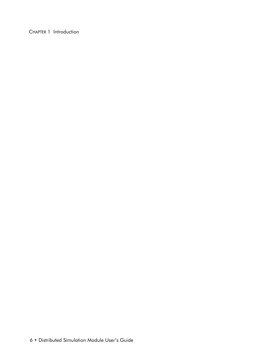CHAPTER 1 Introduction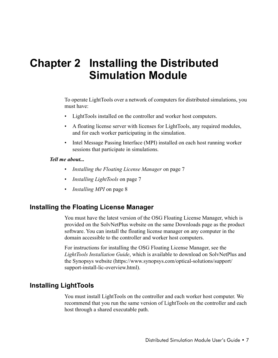# <span id="page-10-0"></span>**Chapter 2 Installing the Distributed Simulation Module**

<span id="page-10-3"></span>To operate LightTools over a network of computers for distributed simulations, you must have:

- LightTools installed on the controller and worker host computers.
- A floating license server with licenses for LightTools, any required modules, and for each worker participating in the simulation.
- Intel Message Passing Interface (MPI) installed on each host running worker sessions that participate in simulations.

#### *Tell me about...*

- *[Installing the Floating License Manager](#page-10-1)* on page 7
- *[Installing LightTools](#page-10-2)* on page 7
- *[Installing MPI](#page-11-0)* on page 8

### <span id="page-10-1"></span>**Installing the Floating License Manager**

You must have the latest version of the OSG Floating License Manager, which is provided on the SolvNetPlus website on the same Downloads page as the product software. You can install the floating license manager on any computer in the domain accessible to the controller and worker host computers.

For instructions for installing the OSG Floating License Manager, see the *LightTools Installation Guide*, which is available to download on SolvNetPlus and the Synopsys website (https://www.synopsys.com/optical-solutions/support/ support-install-lic-overview.html).

# <span id="page-10-2"></span>**Installing LightTools**

You must install LightTools on the controller and each worker host computer. We recommend that you run the same version of LightTools on the controller and each host through a shared executable path.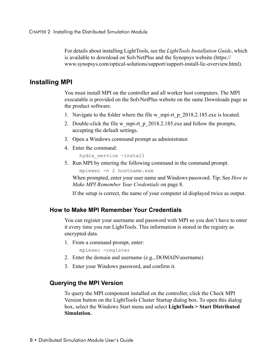For details about installing LightTools, see the *LightTools Installation Guide*, which is available to download on SolvNetPlus and the Synopsys website (https:// www.synopsys.com/optical-solutions/support/support-install-lic-overview.html).

### <span id="page-11-0"></span>**Installing MPI**

You must install MPI on the controller and all worker host computers. The MPI executable is provided on the SolvNetPlus website on the same Downloads page as the product software.

- 1. Navigate to the folder where the file w mpi-rt p 2018.2.185.exe is located.
- 2. Double-click the file w\_mpi-rt\_p\_2018.2.185.exe and follow the prompts, accepting the default settings.
- 3. Open a Windows command prompt as administrator.
- 4. Enter the command:
	- hydra\_service -install
- 5. Run MPI by entering the following command in the command prompt. mpiexec -n 2 hostname.exe

When prompted, enter your user name and Windows password. Tip: See *[How to](#page-11-1)  [Make MPI Remember Your Credentials](#page-11-1)* on page 8.

If the setup is correct, the name of your computer id displayed twice as output.

#### <span id="page-11-1"></span>**How to Make MPI Remember Your Credentials**

You can register your username and password with MPI so you don't have to enter it every time you run LightTools. This information is stored in the registry as encrypted data.

1. From a command prompt, enter:

mpiexec -register

- 2. Enter the domain and username (e.g., DOMAIN\username)
- 3. Enter your Windows password, and confirm it.

#### <span id="page-11-2"></span>**Querying the MPI Version**

To query the MPI component installed on the controller, click the Check MPI Version button on the LightTools Cluster Startup dialog box. To open this dialog box, select the Windows Start menu and select **LightTools > Start Distributed Simulation.**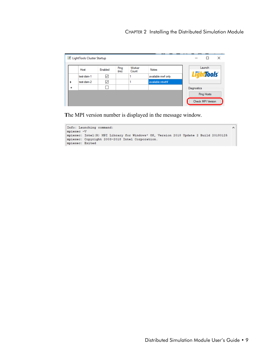| LT LightTools Cluster Startup |         |              |                 |                    | ×<br>□            |
|-------------------------------|---------|--------------|-----------------|--------------------|-------------------|
| Host                          | Enabled | Ping<br>(ms) | Worker<br>Count | <b>Notes</b>       | Launch            |
| test-dsim-1                   | ✓       |              |                 | available mwf only | <b>LīghtTools</b> |
| test-dsim-2                   | ✓       |              |                 | available mtwthf   |                   |
|                               |         |              |                 |                    | Diagnostics       |
|                               |         |              |                 |                    | Ping Hosts        |
|                               |         |              |                 |                    | Check MPI Version |

**T**he MPI version number is displayed in the message window.

```
Info: Launching command:
                                                                                                                    \hat{\mathbf{r}}nure: Datasector Community<br>mpiexector -V<br>mpiexect: Intel(R) MPI Library for Windows* OS, Version 2018 Update 2 Build 20180125
mpiexec: Copyright 2003-2018 Intel Corporation.
mpiexec: Exited
```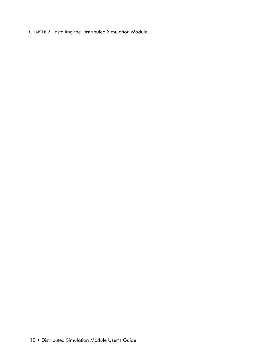CHAPTER 2 Installing the Distributed Simulation Module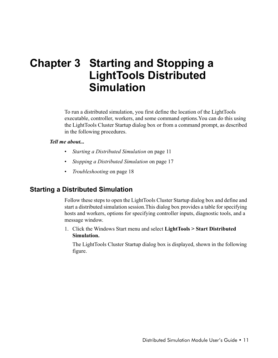<span id="page-14-2"></span><span id="page-14-0"></span>To run a distributed simulation, you first define the location of the LightTools executable, controller, workers, and some command options.You can do this using the LightTools Cluster Startup dialog box or from a command prompt, as described in the following procedures.

#### *Tell me about...*

- *[Starting a Distributed Simulation](#page-14-1)* on page 11
- *[Stopping a Distributed Simulation](#page-20-0)* on page 17
- *[Troubleshooting](#page-21-0)* on page 18

### <span id="page-14-1"></span>**Starting a Distributed Simulation**

Follow these steps to open the LightTools Cluster Startup dialog box and define and start a distributed simulation session.This dialog box provides a table for specifying hosts and workers, options for specifying controller inputs, diagnostic tools, and a message window.

1. Click the Windows Start menu and select **LightTools > Start Distributed Simulation.**

The LightTools Cluster Startup dialog box is displayed, shown in the following figure.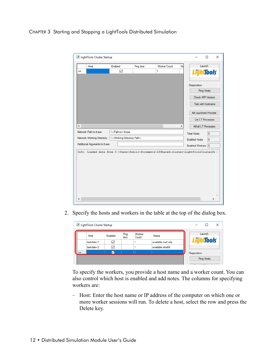|        | Host                           | Enabled                       | Ping (ms)                                            | <b>Worker Count</b>                                                                     | No            | Launch                       |    |
|--------|--------------------------------|-------------------------------|------------------------------------------------------|-----------------------------------------------------------------------------------------|---------------|------------------------------|----|
| Þм     |                                | $\overline{\vee}$             |                                                      | 1                                                                                       |               | <b>LightTools</b>            |    |
|        |                                |                               |                                                      |                                                                                         |               |                              |    |
|        |                                |                               |                                                      |                                                                                         |               | Diagnostics                  |    |
|        |                                |                               |                                                      |                                                                                         |               | Ping Hosts                   |    |
|        |                                |                               |                                                      |                                                                                         |               | Check MPI Version            |    |
|        |                                |                               |                                                      |                                                                                         |               | Test with hostname           |    |
|        |                                |                               |                                                      |                                                                                         |               | <b>Kill Launched Process</b> |    |
|        |                                |                               |                                                      |                                                                                         |               | <b>List LT Processes</b>     |    |
| $\leq$ |                                |                               |                                                      |                                                                                         | $\rightarrow$ | Kill all LT Processes        |    |
|        | Network Path to It exe         | \\ <path+to>\It exe</path+to> |                                                      |                                                                                         |               | <b>Total Hosts</b>           | O  |
|        | Network Working Directory      |                               | \\ <working-directory-path></working-directory-path> |                                                                                         |               | <b>Enabled Hosts</b>         | 10 |
|        | Additional Arguments to It.exe |                               |                                                      |                                                                                         |               | Enabled Workers 0            |    |
|        |                                |                               |                                                      | Info: Loaded data from C:\Users\Public\Documents\LTShared\cluster\LightToolsClusterSe A |               |                              |    |
|        |                                |                               |                                                      |                                                                                         |               |                              |    |
|        |                                |                               |                                                      |                                                                                         |               |                              |    |

2. Specify the hosts and workers in the table at the top of the dialog box.

|       | LT LightTools Cluster Startup |         |              |                 |                    |                      |                  | × |
|-------|-------------------------------|---------|--------------|-----------------|--------------------|----------------------|------------------|---|
|       | Host                          | Enabled | Ping<br>(ms) | Worker<br>Count | Notes              |                      | Launch           |   |
|       | test-dsim-1                   | ✓       |              |                 | available mwf only |                      | <b>TahtTools</b> |   |
|       | test-dsim-2                   | ▽       |              |                 | available mtwthf   |                      |                  |   |
| .l in |                               | ◡       |              |                 |                    | <b>Diagnostics</b>   |                  |   |
|       |                               |         |              |                 |                    | ____________________ | Ping Hosts       |   |

To specify the workers, you provide a host name and a worker count. You can also control which host is enabled and add notes. The columns for specifying workers are:

– Host: Enter the host name or IP address of the computer on which one or more worker sessions will run. To delete a host, select the row and press the Delete key.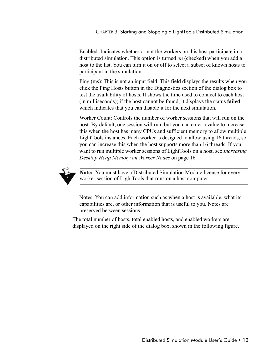- Enabled: Indicates whether or not the workers on this host participate in a distributed simulation. This option is turned *on* (checked) when you add a host to the list. You can turn it on or off to select a subset of known hosts to participant in the simulation.
- Ping (ms): This is not an input field. This field displays the results when you click the Ping Hosts button in the Diagnostics section of the dialog box to test the availability of hosts. It shows the time used to connect to each host (in milliseconds); if the host cannot be found, it displays the status **failed**, which indicates that you can disable it for the next simulation.
- Worker Count: Controls the number of worker sessions that will run on the host. By default, one session will run, but you can enter a value to increase this when the host has many CPUs and sufficient memory to allow multiple LightTools instances. Each worker is designed to allow using 16 threads, so you can increase this when the host supports more than 16 threads. If you want to run multiple worker sessions of LightTools on a host, see *[Increasing](#page-19-0)  [Desktop Heap Memory on Worker Nodes](#page-19-0)* on page 16



**Note:** You must have a Distributed Simulation Module license for every worker session of LightTools that runs on a host computer.

– Notes: You can add information such as when a host is available, what its capabilities are, or other information that is useful to you. Notes are preserved between sessions.

The total number of hosts, total enabled hosts, and enabled workers are displayed on the right side of the dialog box, shown in the following figure.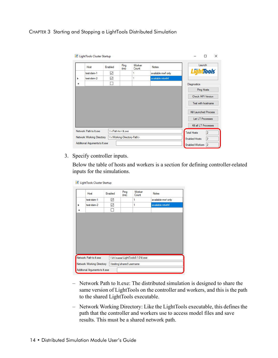|   | LT LightTools Cluster Startup  |                              |                                                      |                 |                    |                              | п              | $\times$ |
|---|--------------------------------|------------------------------|------------------------------------------------------|-----------------|--------------------|------------------------------|----------------|----------|
|   | Host                           | Enabled                      | Ping<br>(m <sub>s</sub> )                            | Worker<br>Count | <b>Notes</b>       | Launch                       |                |          |
|   | test-dsim-1                    | ☑                            |                                                      | 1               | available mwf only | <b>LightTools</b>            |                |          |
|   | test-dsim-2                    | ☑                            |                                                      | 1               | available mtwthf   |                              |                |          |
| ŵ |                                |                              |                                                      |                 |                    | Diagnostics                  |                |          |
|   |                                |                              |                                                      |                 |                    | Ping Hosts                   |                |          |
|   |                                |                              |                                                      |                 |                    | <b>Check MPI Version</b>     |                |          |
|   |                                |                              |                                                      |                 |                    | Test with hostname           |                |          |
|   |                                |                              |                                                      |                 |                    | <b>Kill Launched Process</b> |                |          |
|   |                                |                              |                                                      |                 |                    | <b>List LT Processes</b>     |                |          |
|   |                                |                              |                                                      |                 |                    | Kill all LT Processes        |                |          |
|   | Network Path to It exe         | \\ <path-to>\t_exe</path-to> |                                                      |                 |                    | <b>Total Hosts</b>           | $\overline{2}$ |          |
|   | Network Working Directory      |                              | \\ <working-directory-path></working-directory-path> |                 |                    | <b>Enabled Hosts</b>         | $\overline{2}$ |          |
|   | Additional Arguments to It.exe |                              |                                                      |                 |                    | <b>Enabled Workers</b>       | 2              |          |

3. Specify controller inputs.

Below the table of hosts and workers is a section for defining controller-related inputs for the simulations.

| <b>IT</b> LightTools Cluster Startup |                                |         |                                |                 |                    |  |  |
|--------------------------------------|--------------------------------|---------|--------------------------------|-----------------|--------------------|--|--|
|                                      | Host                           | Enabled | Ping<br>(ms)                   | Worker<br>Count | <b>Notes</b>       |  |  |
|                                      | test-dsim-1                    | ✓       |                                | 1               | available mwf only |  |  |
|                                      | test-dsim-2                    | ▽       |                                | 1               | available mtwthf   |  |  |
|                                      |                                |         |                                |                 |                    |  |  |
|                                      |                                |         |                                |                 |                    |  |  |
|                                      |                                |         |                                |                 |                    |  |  |
|                                      | Network Path to It.exe         |         | \\PCname\LightTools9.1.0\t.exe |                 |                    |  |  |
|                                      | Network Working Directory      |         | \\testing\shared\usemame       |                 |                    |  |  |
|                                      | Additional Arguments to It.exe |         |                                |                 |                    |  |  |

- Network Path to lt.exe: The distributed simulation is designed to share the same version of LightTools on the controller and workers, and this is the path to the shared LightTools executable.
- Network Working Directory: Like the LightTools executable, this defines the path that the controller and workers use to access model files and save results. This must be a shared network path.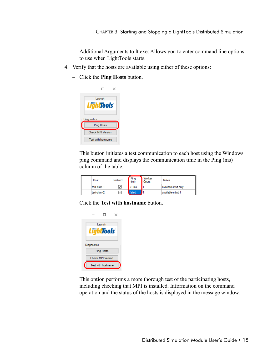- Additional Arguments to lt.exe: Allows you to enter command line options to use when LightTools starts.
- 4. Verify that the hosts are available using either of these options:
	- Click the **Ping Hosts** button.

| <b>Diagnostics</b> | Launch<br>Liahtiools     |  |
|--------------------|--------------------------|--|
|                    |                          |  |
|                    |                          |  |
|                    | <b>Ping Hosts</b>        |  |
|                    | <b>Check MPI Version</b> |  |

This button initiates a test communication to each host using the Windows ping command and displays the communication time in the Ping (ms) column of the table.

| Host        | Enabled | Ping<br>(ms) | Worker<br>Count | <b>Notes</b>       |
|-------------|---------|--------------|-----------------|--------------------|
| test-dsim-1 | ✓       | : 1ms        |                 | available mwf only |
| test-dsim-2 |         | failed       |                 | available mtwthf   |

– Click the **Test with hostname** button.



This option performs a more thorough test of the participating hosts, including checking that MPI is installed. Information on the command operation and the status of the hosts is displayed in the message window.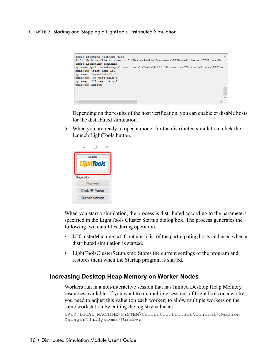```
Info: Starting hostname test
Info: Machine file written to C:\Users\Public\Documents\LTShared\cluster\LTClusterMac
Info: Launching command:
mpiexec -print-rank-map -1 -machine C:\Users\Public\Documents\LTShared\cluster\LTClus
mpiexec: (test-dsim-1:0)
mpiexec: (test-dsim-2:1)
mpiexec: [0] test-dsim-1
mpiexec: [1] test-dsim-2
mpiexec: Exited
\langle
```
Depending on the results of the host verification, you can enable or disable hosts for the distributed simulation.

5. When you are ready to open a model for the distributed simulation, click the Launch LightTools button.

|                    | Launch<br>LiahtTools     |  |
|--------------------|--------------------------|--|
|                    |                          |  |
| <b>Diagnostics</b> |                          |  |
|                    | <b>Ping Hosts</b>        |  |
|                    | <b>Check MPI Version</b> |  |

When you start a simulation, the process is distributed according to the parameters specified in the LightTools Cluster Startup dialog box. The process generates the following two data files during operation.

- LTClusterMachine.txt: Contains a list of the participating hosts and used when a distributed simulation is started.
- LightToolsClusterSetup.xml: Stores the current settings of the program and restores them when the Startup program is started.

### <span id="page-19-0"></span>**Increasing Desktop Heap Memory on Worker Nodes**

Workers run in a non-interactive session that has limited Desktop Heap Memory resources available. If you want to run multiple sessions of LightTools on a worker, you need to adjust this value (on each worker) to allow multiple workers on the same workstation by editing the registry value at:

```
HKEY_LOCAL_MACHINE\SYSTEM\CurrentControlSet\Control\Session 
Manager\SubSystems\Windows
```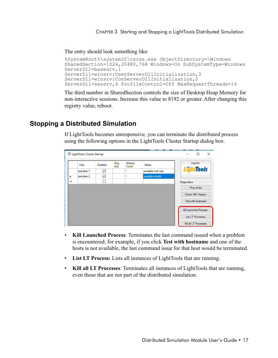The entry should look something like:

```
%SystemRoot%\system32\csrss.exe ObjectDirectory=\Windows 
SharedSection=1024,20480,768 Windows=On SubSystemType=Windows 
ServerDll=basesrv,1 
ServerDll=winsrv:UserServerDllInitialization,3 
ServerDll=winsrv:ConServerDllInitialization,2 
ServerDll=sxssrv,4 ProfileControl=Off MaxRequestThreads=16
```
The third number in SharedSection controls the size of Desktop Heap Memory for non-interactive sessions. Increase this value to 8192 or greater. After changing this registry value, reboot.

### <span id="page-20-0"></span>**Stopping a Distributed Simulation**

If LightTools becomes unresponsive, you can terminate the distributed process using the following options in the LightTools Cluster Startup dialog box.

|   | <b>IT</b> LightTools Cluster Startup |         |              |                 |                    | . .<br>$\times$<br>п     |
|---|--------------------------------------|---------|--------------|-----------------|--------------------|--------------------------|
|   | Host                                 | Enabled | Ping<br>(ms) | Worker<br>Count | <b>Notes</b>       | Launch                   |
|   | test-dsim-1                          | ☑       |              | 1               | available mwf only | <b>LīghtTools</b>        |
|   | test-dsim-2                          | ☑       |              | 1               | available mtwthf   |                          |
| ٠ |                                      |         |              |                 |                    | Diagnostics              |
|   |                                      |         |              |                 |                    | <b>Ping Hosts</b>        |
|   |                                      |         |              |                 |                    | <b>Check MPI Version</b> |
|   |                                      |         |              |                 |                    | Test with hostname       |
|   |                                      |         |              |                 |                    | Kill Launched Process    |
|   |                                      |         |              |                 |                    | <b>List LT Processes</b> |
|   |                                      |         |              |                 |                    | Kill all LT Processes    |

- **Kill Launched Process**: Terminates the last command issued when a problem is encountered; for example, if you click **Test with hostname** and one of the hosts is not available, the last command issue for that host would be terminated.
- **List LT Process:** Lists all instances of LightTools that are running.
- **Kill all LT Processes**: Terminates all instances of LightTools that are running, even those that are not part of the distributed simulation.